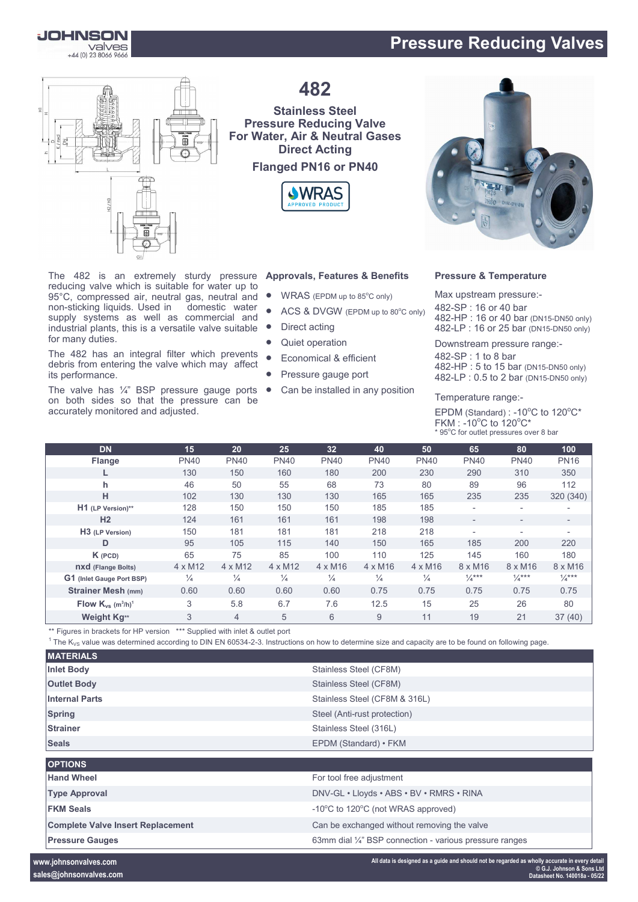# **Pressure Reducing Valves**

**JOHNSON Valves**<br>+44 (0) 23 8066 9666

for many duties.

its performance.



The 482 is an extremely sturdy pressure

non-sticking liquids. Used in domestic water supply systems as well as commercial and industrial plants, this is a versatile valve suitable

The 482 has an integral filter which prevents debris from entering the valve which may affect

The valve has  $\frac{1}{4}$ " BSP pressure gauge ports on both sides so that the pressure can be

accurately monitored and adjusted.

**482**

## **Stainless Steel Pressure Reducing Valve For Water, Air & Neutral Gases Direct Acting Flanged PN16 or PN40**



### **Approvals, Features & Benefits**

- $\bullet$  WRAS (EPDM up to 85 $^{\circ}$ C only) reducing valve which is suitable for water up to 95°C, compressed air, neutral gas, neutral and
	- ACS & DVGW (EPDM up to 80°C only)
	- Direct acting
	- Quiet operation
	- Economical & efficient
	- Pressure gauge port
	- Can be installed in any position



### **Pressure & Temperature**

Max upstream pressure:- -SP : 16 or 40 bar -HP : 16 or 40 bar (DN15-DN50 only) -LP : 16 or 25 bar (DN15-DN50 only)

Downstream pressure range:-

482-SP : 1 to 8 bar 482-HP : 5 to 15 bar (DN15-DN50 only) 482-LP : 0.5 to 2 bar (DN15-DN50 only)

Temperature range:-

EPDM (Standard) : -10 $^{\circ}$ C to 120 $^{\circ}$ C\* FKM : -10 $^{\circ}$ C to 120 $^{\circ}$ C\* \* 95°C for outlet pressures over 8 bar

| <b>DN</b>                                      | 15             | 20             | 25             | 32             | 40             | 50             | 65                       | 80                       | 100                      |
|------------------------------------------------|----------------|----------------|----------------|----------------|----------------|----------------|--------------------------|--------------------------|--------------------------|
| <b>Flange</b>                                  | <b>PN40</b>    | <b>PN40</b>    | <b>PN40</b>    | <b>PN40</b>    | <b>PN40</b>    | <b>PN40</b>    | <b>PN40</b>              | <b>PN40</b>              | <b>PN16</b>              |
|                                                | 130            | 150            | 160            | 180            | 200            | 230            | 290                      | 310                      | 350                      |
| h.                                             | 46             | 50             | 55             | 68             | 73             | 80             | 89                       | 96                       | 112                      |
| н                                              | 102            | 130            | 130            | 130            | 165            | 165            | 235                      | 235                      | 320 (340)                |
| H1 (LP Version)**                              | 128            | 150            | 150            | 150            | 185            | 185            | $\overline{\phantom{a}}$ | $\overline{\phantom{a}}$ |                          |
| H <sub>2</sub>                                 | 124            | 161            | 161            | 161            | 198            | 198            | $\overline{\phantom{a}}$ | $\overline{\phantom{a}}$ | $\overline{\phantom{0}}$ |
| H <sub>3</sub> (LP Version)                    | 150            | 181            | 181            | 181            | 218            | 218            |                          | $\overline{\phantom{a}}$ |                          |
| D                                              | 95             | 105            | 115            | 140            | 150            | 165            | 185                      | 200                      | 220                      |
| $K$ (PCD)                                      | 65             | 75             | 85             | 100            | 110            | 125            | 145                      | 160                      | 180                      |
| <b>nxd</b> (Flange Bolts)                      | $4 \times M12$ | $4 \times M12$ | $4 \times M12$ | $4 \times M16$ | $4 \times M16$ | $4 \times M16$ | $8 \times M16$           | $8 \times M16$           | 8 x M16                  |
| G1 (Inlet Gauge Port BSP)                      | $\frac{1}{4}$  | $\frac{1}{4}$  | $\frac{1}{4}$  | $\frac{1}{4}$  | $\frac{1}{4}$  | $\frac{1}{4}$  | $\frac{1}{4}$ ***        | $\frac{1}{4}$ ***        | $\frac{1}{4}$ ***        |
| <b>Strainer Mesh (mm)</b>                      | 0.60           | 0.60           | 0.60           | 0.60           | 0.75           | 0.75           | 0.75                     | 0.75                     | 0.75                     |
| Flow $K_{vs}$ (m <sup>3</sup> /h) <sup>1</sup> | 3              | 5.8            | 6.7            | 7.6            | 12.5           | 15             | 25                       | 26                       | 80                       |
| Weight Kg**                                    | 3              | $\overline{4}$ | 5              | 6              | 9              | 11             | 19                       | 21                       | 37(40)                   |

\*\* Figures in brackets for HP version \*\*\* Supplied with inlet & outlet port

 $1$  The K<sub>VS</sub> value was determined according to DIN EN 60534-2-3. Instructions on how to determine size and capacity are to be found on following page.

| <b>MATERIALS</b>                         |                                                                    |
|------------------------------------------|--------------------------------------------------------------------|
| <b>Inlet Body</b>                        | Stainless Steel (CF8M)                                             |
| <b>Outlet Body</b>                       | Stainless Steel (CF8M)                                             |
| <b>Internal Parts</b>                    | Stainless Steel (CF8M & 316L)                                      |
| <b>Spring</b>                            | Steel (Anti-rust protection)                                       |
| <b>Strainer</b>                          | Stainless Steel (316L)                                             |
| <b>Seals</b>                             | EPDM (Standard) • FKM                                              |
| <b>OPTIONS</b>                           |                                                                    |
| <b>Hand Wheel</b>                        | For tool free adjustment                                           |
| <b>Type Approval</b>                     | DNV-GL · Lloyds · ABS · BV · RMRS · RINA                           |
| <b>FKM Seals</b>                         | -10°C to 120°C (not WRAS approved)                                 |
| <b>Complete Valve Insert Replacement</b> | Can be exchanged without removing the valve                        |
| <b>Pressure Gauges</b>                   | 63mm dial $\frac{1}{4}$ " BSP connection - various pressure ranges |